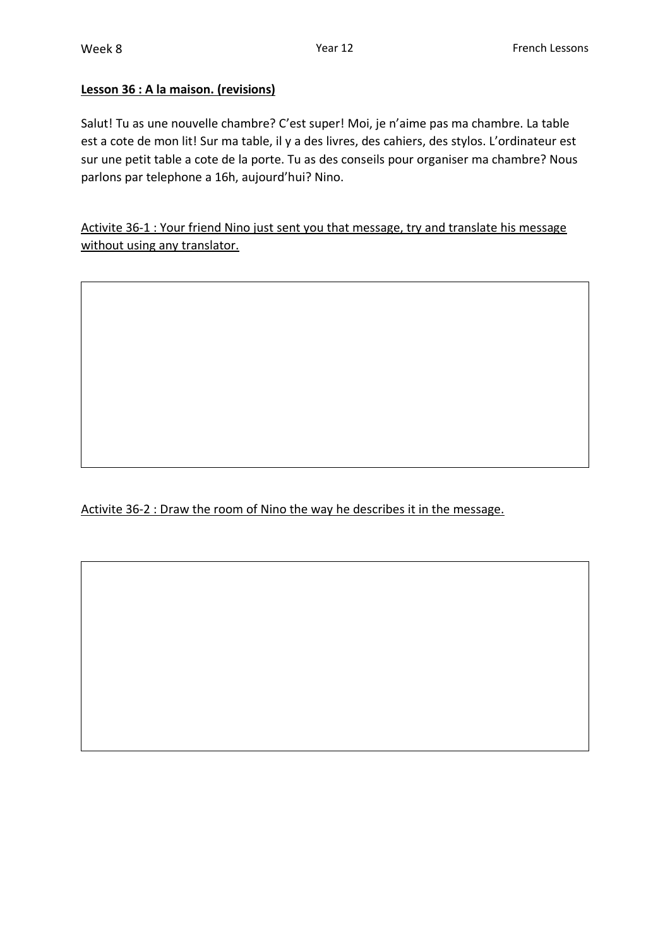## **Lesson 36 : A la maison. (revisions)**

Salut! Tu as une nouvelle chambre? C'est super! Moi, je n'aime pas ma chambre. La table est a cote de mon lit! Sur ma table, il y a des livres, des cahiers, des stylos. L'ordinateur est sur une petit table a cote de la porte. Tu as des conseils pour organiser ma chambre? Nous parlons par telephone a 16h, aujourd'hui? Nino.

Activite 36-1 : Your friend Nino just sent you that message, try and translate his message without using any translator.

Activite 36-2 : Draw the room of Nino the way he describes it in the message.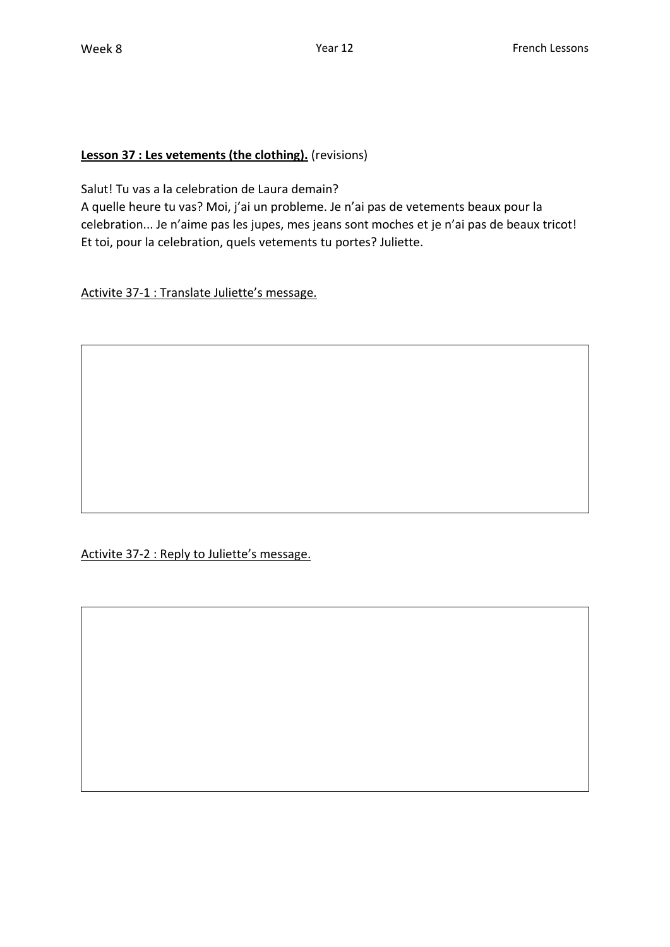## **Lesson 37 : Les vetements (the clothing).** (revisions)

Salut! Tu vas a la celebration de Laura demain?

A quelle heure tu vas? Moi, j'ai un probleme. Je n'ai pas de vetements beaux pour la celebration... Je n'aime pas les jupes, mes jeans sont moches et je n'ai pas de beaux tricot! Et toi, pour la celebration, quels vetements tu portes? Juliette.

Activite 37-1 : Translate Juliette's message.

Activite 37-2 : Reply to Juliette's message.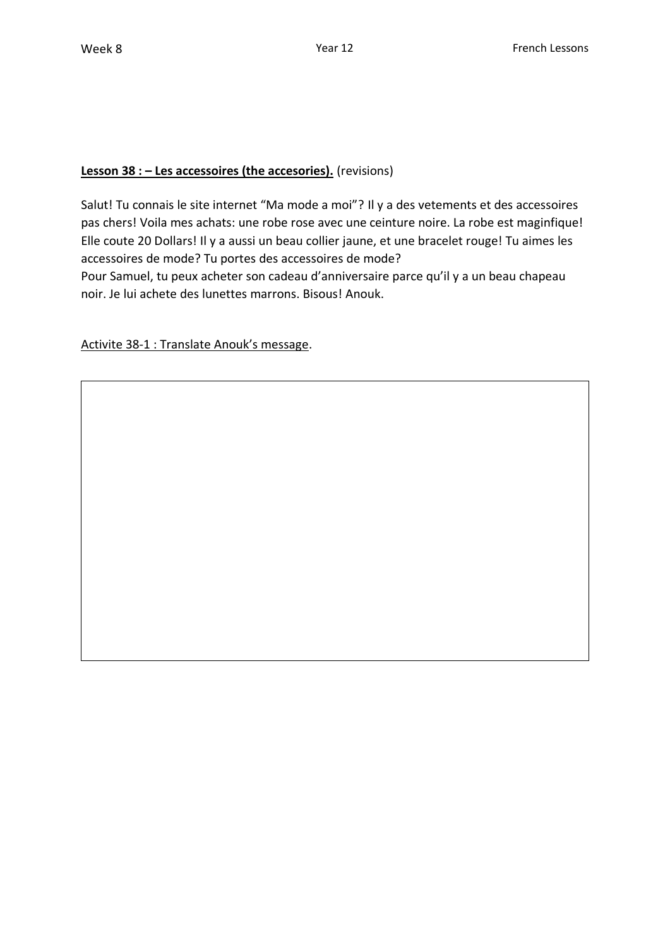# **Lesson 38 : – Les accessoires (the accesories).** (revisions)

Salut! Tu connais le site internet "Ma mode a moi"? Il y a des vetements et des accessoires pas chers! Voila mes achats: une robe rose avec une ceinture noire. La robe est maginfique! Elle coute 20 Dollars! Il y a aussi un beau collier jaune, et une bracelet rouge! Tu aimes les accessoires de mode? Tu portes des accessoires de mode?

Pour Samuel, tu peux acheter son cadeau d'anniversaire parce qu'il y a un beau chapeau noir. Je lui achete des lunettes marrons. Bisous! Anouk.

Activite 38-1 : Translate Anouk's message.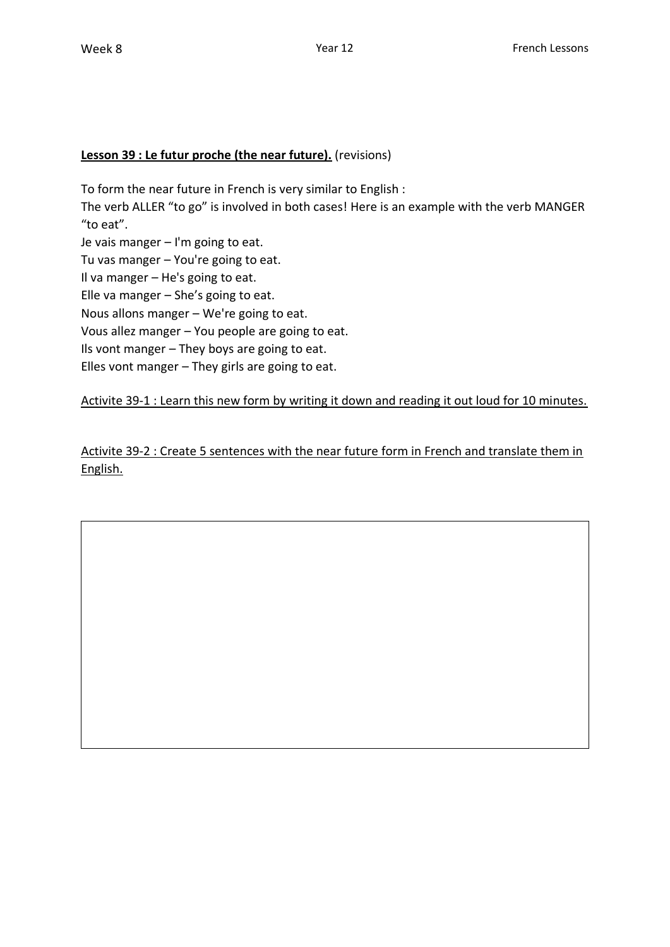#### **Lesson 39 : Le futur proche (the near future).** (revisions)

To form the near future in French is very similar to English :

The verb ALLER "to go" is involved in both cases! Here is an example with the verb MANGER "to eat".

Je vais manger – I'm going to eat.

Tu vas manger – You're going to eat.

Il va manger – He's going to eat.

Elle va manger – She's going to eat.

Nous allons manger – We're going to eat.

Vous allez manger – You people are going to eat.

Ils vont manger – They boys are going to eat.

Elles vont manger – They girls are going to eat.

Activite 39-1 : Learn this new form by writing it down and reading it out loud for 10 minutes.

Activite 39-2 : Create 5 sentences with the near future form in French and translate them in English.